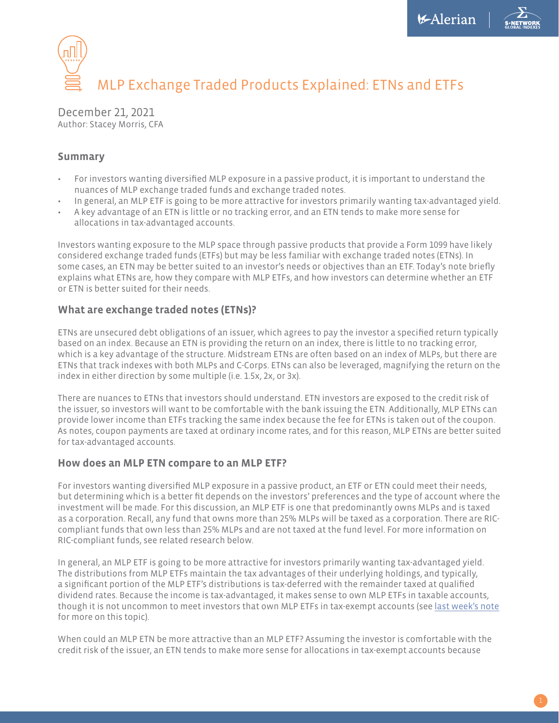

# MLP Exchange Traded Products Explained: ETNs and ETFs

December 21, 2021 Author: Stacey Morris, CFA

#### **Summary**

- For investors wanting diversified MLP exposure in a passive product, it is important to understand the nuances of MLP exchange traded funds and exchange traded notes.
- In general, an MLP ETF is going to be more attractive for investors primarily wanting tax-advantaged yield.
- A key advantage of an ETN is little or no tracking error, and an ETN tends to make more sense for allocations in tax-advantaged accounts.

Investors wanting exposure to the MLP space through passive products that provide a Form 1099 have likely considered exchange traded funds (ETFs) but may be less familiar with exchange traded notes (ETNs). In some cases, an ETN may be better suited to an investor's needs or objectives than an ETF. Today's note briefly explains what ETNs are, how they compare with MLP ETFs, and how investors can determine whether an ETF or ETN is better suited for their needs.

## **What are exchange traded notes (ETNs)?**

ETNs are unsecured debt obligations of an issuer, which agrees to pay the investor a specified return typically based on an index. Because an ETN is providing the return on an index, there is little to no tracking error, which is a key advantage of the structure. Midstream ETNs are often based on an index of MLPs, but there are ETNs that track indexes with both MLPs and C-Corps. ETNs can also be leveraged, magnifying the return on the index in either direction by some multiple (i.e. 1.5x, 2x, or 3x).

There are nuances to ETNs that investors should understand. ETN investors are exposed to the credit risk of the issuer, so investors will want to be comfortable with the bank issuing the ETN. Additionally, MLP ETNs can provide lower income than ETFs tracking the same index because the fee for ETNs is taken out of the coupon. As notes, coupon payments are taxed at ordinary income rates, and for this reason, MLP ETNs are better suited for tax-advantaged accounts.

## **How does an MLP ETN compare to an MLP ETF?**

For investors wanting diversified MLP exposure in a passive product, an ETF or ETN could meet their needs, but determining which is a better fit depends on the investors' preferences and the type of account where the investment will be made. For this discussion, an MLP ETF is one that predominantly owns MLPs and is taxed as a corporation. Recall, any fund that owns more than 25% MLPs will be taxed as a corporation. There are RICcompliant funds that own less than 25% MLPs and are not taxed at the fund level. For more information on RIC-compliant funds, see related research below.

In general, an MLP ETF is going to be more attractive for investors primarily wanting tax-advantaged yield. The distributions from MLP ETFs maintain the tax advantages of their underlying holdings, and typically, a significant portion of the MLP ETF's distributions is tax-deferred with the remainder taxed at qualified dividend rates. Because the income is tax-advantaged, it makes sense to own MLP ETFs in taxable accounts, though it is not uncommon to meet investors that own MLP ETFs in tax-exempt accounts (see [last week's note](https://insights.alerian.com/mlps-ubti-etfs-and-iras-what-you-need-to-know?_ga=2.53847656.1724501753.1639406884-1549772386.1632412471) for more on this topic).

When could an MLP ETN be more attractive than an MLP ETF? Assuming the investor is comfortable with the credit risk of the issuer, an ETN tends to make more sense for allocations in tax-exempt accounts because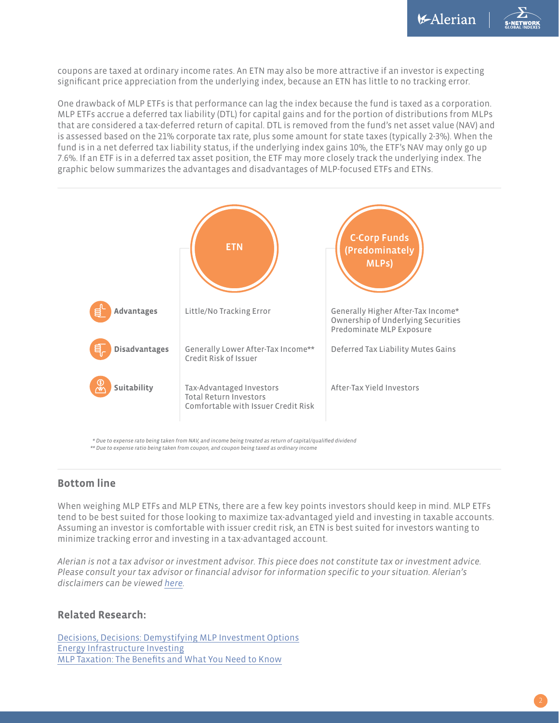coupons are taxed at ordinary income rates. An ETN may also be more attractive if an investor is expecting significant price appreciation from the underlying index, because an ETN has little to no tracking error.

One drawback of MLP ETFs is that performance can lag the index because the fund is taxed as a corporation. MLP ETFs accrue a deferred tax liability (DTL) for capital gains and for the portion of distributions from MLPs that are considered a tax-deferred return of capital. DTL is removed from the fund's net asset value (NAV) and is assessed based on the 21% corporate tax rate, plus some amount for state taxes (typically 2-3%). When the fund is in a net deferred tax liability status, if the underlying index gains 10%, the ETF's NAV may only go up 7.6%. If an ETF is in a deferred tax asset position, the ETF may more closely track the underlying index. The graphic below summarizes the advantages and disadvantages of MLP-focused ETFs and ETNs.



*\* Due to expense rato being taken from NAV, and income being treated as return of capital/qualified dividend \*\* Due to expense ratio being taken from coupon, and coupon being taxed as ordinary income*

#### **Bottom line**

When weighing MLP ETFs and MLP ETNs, there are a few key points investors should keep in mind. MLP ETFs tend to be best suited for those looking to maximize tax-advantaged yield and investing in taxable accounts. Assuming an investor is comfortable with issuer credit risk, an ETN is best suited for investors wanting to minimize tracking error and investing in a tax-advantaged account.

*Alerian is not a tax advisor or investment advisor. This piece does not constitute tax or investment advice. Please consult your tax advisor or financial advisor for information specific to your situation. Alerian's disclaimers can be viewed [here](https://www.alerian.com/disclaimers/?_ga=2.43426533.1724501753.1639406884-1549772386.1632412471).* 

#### **Related Research:**

[Decisions, Decisions: Demystifying MLP Investment Options](https://insights.alerian.com/decisions-decisions-demystifying-mlp-investment-options) [Energy Infrastructure Investing](https://www.alerian.com/education/energy-infrastructure-investing/?_ga=2.220267857.814003588.1638800348-1549772386.1632412471) [MLP Taxation: The Benefits and What You Need to Know](https://insights.alerian.com/mlp-taxation-the-benefits-and-what-you-need-to-know)